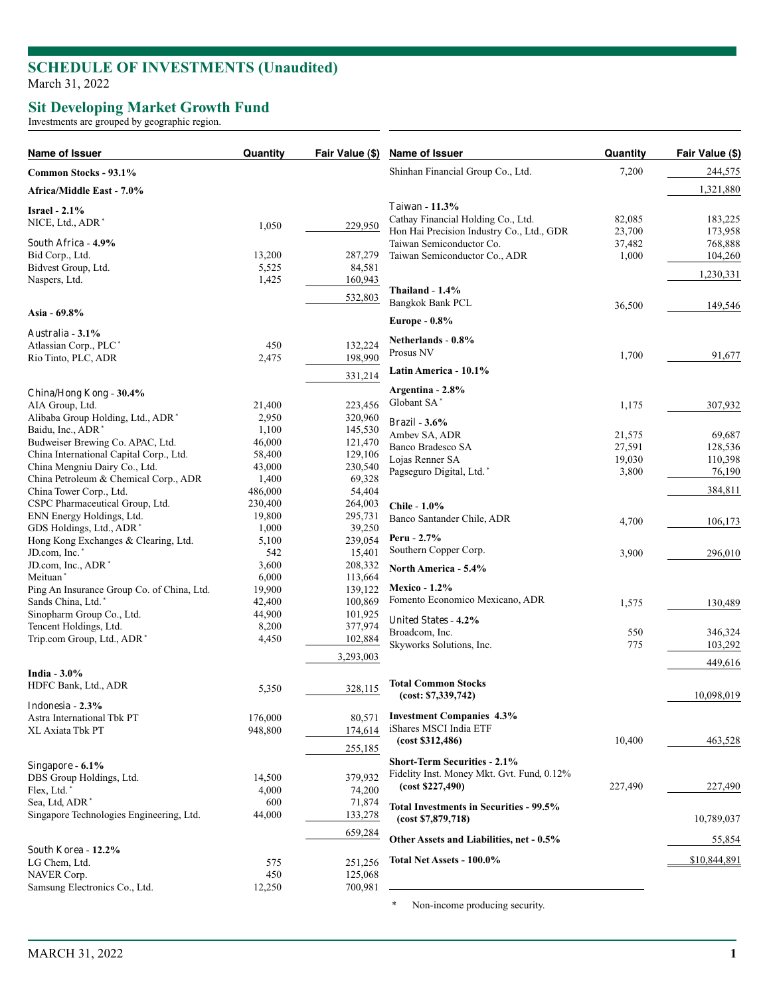## **SCHEDULE OF INVESTMENTS (Unaudited)** March 31, 2022

## **Sit Developing Market Growth Fund**

Investments are grouped by geographic region.

| Name of Issuer                                                   | Quantity        | Fair Value (\$)    | Name of Issuer                                                             | Quantity | Fair Value (\$) |
|------------------------------------------------------------------|-----------------|--------------------|----------------------------------------------------------------------------|----------|-----------------|
| Common Stocks - 93.1%                                            |                 |                    | Shinhan Financial Group Co., Ltd.                                          | 7,200    | 244,575         |
| Africa/Middle East - 7.0%                                        |                 |                    |                                                                            |          | 1,321,880       |
| Israel - $2.1\%$                                                 |                 |                    | <b>Taiwan</b> - 11.3%                                                      |          |                 |
| NICE, Ltd., ADR <sup>*</sup>                                     | 1,050           | 229,950            | Cathay Financial Holding Co., Ltd.                                         | 82,085   | 183,225         |
|                                                                  |                 |                    | Hon Hai Precision Industry Co., Ltd., GDR                                  | 23,700   | 173,958         |
| South Africa - 4.9%                                              |                 |                    | Taiwan Semiconductor Co.                                                   | 37,482   | 768,888         |
| Bid Corp., Ltd.<br>Bidvest Group, Ltd.                           | 13,200<br>5,525 | 287,279<br>84,581  | Taiwan Semiconductor Co., ADR                                              | 1,000    | 104,260         |
| Naspers, Ltd.                                                    | 1,425           | 160,943            |                                                                            |          | 1,230,331       |
|                                                                  |                 |                    | Thailand $-1.4\%$                                                          |          |                 |
|                                                                  |                 | 532,803            | <b>Bangkok Bank PCL</b>                                                    | 36,500   | 149,546         |
| Asia - 69.8%                                                     |                 |                    | Europe - $0.8\%$                                                           |          |                 |
| Australia - 3.1%                                                 |                 |                    |                                                                            |          |                 |
| Atlassian Corp., PLC*                                            | 450             | 132,224            | Netherlands - 0.8%                                                         |          |                 |
| Rio Tinto, PLC, ADR                                              | 2,475           | 198,990            | Prosus NV                                                                  | 1,700    | 91,677          |
|                                                                  |                 | 331,214            | Latin America - 10.1%                                                      |          |                 |
|                                                                  |                 |                    | Argentina - 2.8%                                                           |          |                 |
| China/Hong Kong - 30.4%                                          |                 |                    | Globant SA*                                                                |          | 307,932         |
| AIA Group, Ltd.<br>Alibaba Group Holding, Ltd., ADR <sup>*</sup> | 21,400<br>2,950 | 223,456            |                                                                            | 1,175    |                 |
| Baidu, Inc., ADR <sup>*</sup>                                    | 1,100           | 320,960<br>145,530 | Brazil - $3.6\%$                                                           |          |                 |
| Budweiser Brewing Co. APAC, Ltd.                                 | 46,000          | 121,470            | Ambev SA, ADR                                                              | 21,575   | 69,687          |
| China International Capital Corp., Ltd.                          | 58,400          | 129,106            | Banco Bradesco SA                                                          | 27,591   | 128,536         |
| China Mengniu Dairy Co., Ltd.                                    | 43,000          | 230,540            | Lojas Renner SA                                                            | 19,030   | 110,398         |
| China Petroleum & Chemical Corp., ADR                            | 1,400           | 69,328             | Pagseguro Digital, Ltd.*                                                   | 3,800    | 76,190          |
| China Tower Corp., Ltd.                                          | 486,000         | 54,404             |                                                                            |          | 384,811         |
| CSPC Pharmaceutical Group, Ltd.                                  | 230,400         | 264,003            | Chile - 1.0%                                                               |          |                 |
| ENN Energy Holdings, Ltd.                                        | 19,800          | 295,731            | Banco Santander Chile, ADR                                                 |          | 106,173         |
| GDS Holdings, Ltd., ADR                                          | 1,000           | 39,250             |                                                                            | 4,700    |                 |
| Hong Kong Exchanges & Clearing, Ltd.                             | 5,100           | 239,054            | Peru - $2.7%$                                                              |          |                 |
| JD.com, Inc.*                                                    | 542             | 15,401             | Southern Copper Corp.                                                      | 3,900    | 296,010         |
| JD.com, Inc., ADR*                                               | 3,600           | 208,332            | North America - 5.4%                                                       |          |                 |
| Meituan <sup>*</sup>                                             | 6,000           | 113,664            |                                                                            |          |                 |
| Ping An Insurance Group Co. of China, Ltd.                       | 19,900          | 139,122            | <b>Mexico - 1.2%</b>                                                       |          |                 |
| Sands China, Ltd.*                                               | 42,400          | 100,869            | Fomento Economico Mexicano, ADR                                            | 1,575    | 130,489         |
| Sinopharm Group Co., Ltd.                                        | 44,900          | 101,925            | <b>United States - 4.2%</b>                                                |          |                 |
| Tencent Holdings, Ltd.                                           | 8,200<br>4,450  | 377,974            | Broadcom, Inc.                                                             | 550      | 346,324         |
| Trip.com Group, Ltd., ADR <sup>*</sup>                           |                 | 102,884            | Skyworks Solutions, Inc.                                                   | 775      | 103,292         |
|                                                                  |                 | 3,293,003          |                                                                            |          | 449,616         |
| India $-3.0\%$                                                   |                 |                    |                                                                            |          |                 |
| HDFC Bank, Ltd., ADR                                             | 5,350           | 328,115            | <b>Total Common Stocks</b>                                                 |          |                 |
| Indonesia - 2.3%                                                 |                 |                    | (cost: \$7,339,742)                                                        |          | 10,098,019      |
| Astra International Tbk PT                                       | 176,000         |                    | 80,571 Investment Companies 4.3%                                           |          |                 |
| XL Axiata Tbk PT                                                 | 948,800         | 174,614            | iShares MSCI India ETF                                                     |          |                 |
|                                                                  |                 |                    | (cost \$312,486)                                                           | 10,400   | 463,528         |
|                                                                  |                 | 255,185            |                                                                            |          |                 |
| Singapore - 6.1%                                                 |                 |                    | Short-Term Securities - 2.1%<br>Fidelity Inst. Money Mkt. Gvt. Fund, 0.12% |          |                 |
| DBS Group Holdings, Ltd.                                         | 14,500          | 379,932            | (cost \$227,490)                                                           | 227,490  | 227,490         |
| Flex, Ltd.                                                       | 4,000           | 74,200             |                                                                            |          |                 |
| Sea, Ltd, ADR <sup>*</sup>                                       | 600             | 71,874             | <b>Total Investments in Securities - 99.5%</b>                             |          |                 |
| Singapore Technologies Engineering, Ltd.                         | 44,000          | 133,278            | (cost \$7,879,718)                                                         |          | 10,789,037      |
|                                                                  |                 | 659,284            | Other Assets and Liabilities, net - 0.5%                                   |          | 55,854          |
| South Korea - 12.2%                                              |                 |                    |                                                                            |          |                 |
| LG Chem, Ltd.                                                    | 575             | 251,256            | Total Net Assets - 100.0%                                                  |          | \$10,844,891    |
| NAVER Corp.                                                      | 450             | 125,068            |                                                                            |          |                 |
| Samsung Electronics Co., Ltd.                                    | 12,250          | 700,981            |                                                                            |          |                 |
|                                                                  |                 |                    | Non-income producing security.<br>*                                        |          |                 |